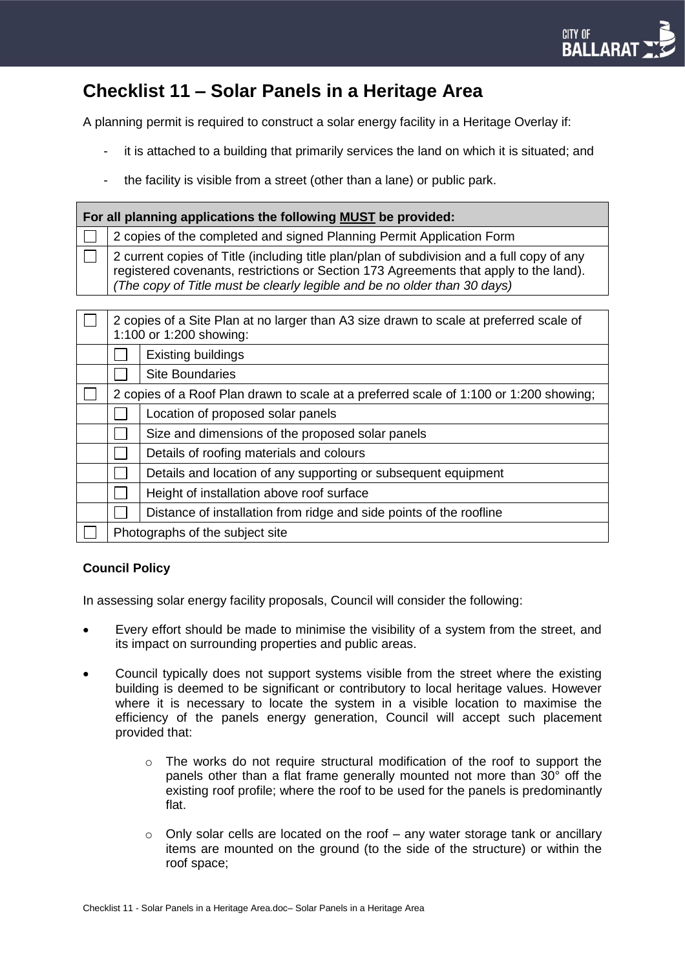## **Checklist 11 – Solar Panels in a Heritage Area**

A planning permit is required to construct a solar energy facility in a Heritage Overlay if:

- it is attached to a building that primarily services the land on which it is situated; and
- the facility is visible from a street (other than a lane) or public park.

| For all planning applications the following <b>MUST</b> be provided: |                                                                                                                                                                                                                                                                |                                                                     |
|----------------------------------------------------------------------|----------------------------------------------------------------------------------------------------------------------------------------------------------------------------------------------------------------------------------------------------------------|---------------------------------------------------------------------|
|                                                                      | 2 copies of the completed and signed Planning Permit Application Form                                                                                                                                                                                          |                                                                     |
|                                                                      | 2 current copies of Title (including title plan/plan of subdivision and a full copy of any<br>registered covenants, restrictions or Section 173 Agreements that apply to the land).<br>The copy of Title must be clearly legible and be no older than 30 days) |                                                                     |
|                                                                      | 2 copies of a Site Plan at no larger than A3 size drawn to scale at preferred scale of<br>1:100 or 1:200 showing:                                                                                                                                              |                                                                     |
|                                                                      |                                                                                                                                                                                                                                                                | Existing buildings                                                  |
|                                                                      |                                                                                                                                                                                                                                                                | <b>Site Boundaries</b>                                              |
|                                                                      | 2 copies of a Roof Plan drawn to scale at a preferred scale of 1:100 or 1:200 showing;                                                                                                                                                                         |                                                                     |
|                                                                      |                                                                                                                                                                                                                                                                | Location of proposed solar panels                                   |
|                                                                      |                                                                                                                                                                                                                                                                | Size and dimensions of the proposed solar panels                    |
|                                                                      |                                                                                                                                                                                                                                                                | Details of roofing materials and colours                            |
|                                                                      |                                                                                                                                                                                                                                                                | Details and location of any supporting or subsequent equipment      |
|                                                                      |                                                                                                                                                                                                                                                                | Height of installation above roof surface                           |
|                                                                      |                                                                                                                                                                                                                                                                | Distance of installation from ridge and side points of the roofline |
|                                                                      | Photographs of the subject site                                                                                                                                                                                                                                |                                                                     |

## **Council Policy**

In assessing solar energy facility proposals, Council will consider the following:

- Every effort should be made to minimise the visibility of a system from the street, and its impact on surrounding properties and public areas.
- Council typically does not support systems visible from the street where the existing building is deemed to be significant or contributory to local heritage values. However where it is necessary to locate the system in a visible location to maximise the efficiency of the panels energy generation, Council will accept such placement provided that:
	- o The works do not require structural modification of the roof to support the panels other than a flat frame generally mounted not more than 30° off the existing roof profile; where the roof to be used for the panels is predominantly flat.
	- $\circ$  Only solar cells are located on the roof any water storage tank or ancillary items are mounted on the ground (to the side of the structure) or within the roof space;